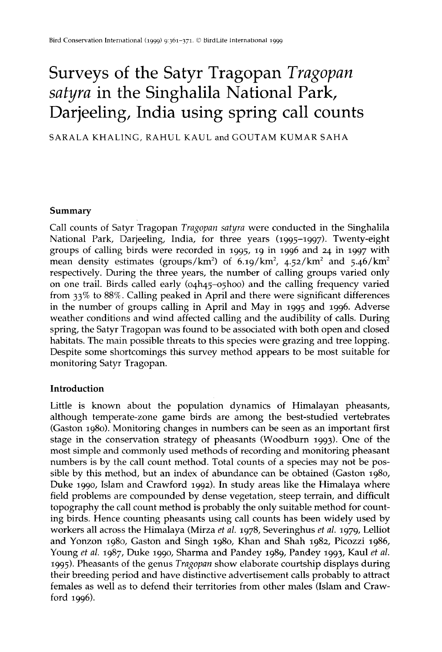# Surveys of the Satyr Tragopan *Tragopan* satyra in the Singhalila National Park, Darjeeling, India using spring call counts

SARALA KHALING, RAHUL KAUL and GOUTAM KUMAR SAHA

# **Summary**

Call counts of Satyr Tragopan *Tragopan satyra* were conducted in the Singhalila National Park, Darjeeling, India, for three years (1995-1997). Twenty-eight groups of calling birds were recorded in 1995, 19 in 1996 and 24 in 1997 with mean density estimates (groups/km<sup>2</sup>) of 6.19/km<sup>2</sup>, 4.52/km<sup>2</sup> and 5.46/km<sup>2</sup> respectively. During the three years, the number of calling groups varied only on one trail. Birds called early  $(o_4h_45-o_5hoo)$  and the calling frequency varied from 33% to 88%. Calling peaked in April and there were significant differences in the number of groups calling in April and May in 1995 and 1996. Adverse weather conditions and wind affected calling and the audibility of calls. During spring, the Satyr Tragopan was found to be associated with both open and closed habitats. The main possible threats to this species were grazing and tree lopping. Despite some shortcomings this survey method appears to be most suitable for monitoring Satyr Tragopan.

# **Introduction**

Little is known about the population dynamics of Himalayan pheasants, although temperate-zone game birds are among the best-studied vertebrates (Gaston 1980). Monitoring changes in numbers can be seen as an important first stage in the conservation strategy of pheasants (Woodburn 1993). One of the most simple and commonly used methods of recording and monitoring pheasant numbers is by the call count method. Total counts of a species may not be possible by this method, but an index of abundance can be obtained (Gaston 1980, Duke 1990, Islam and Crawford 1992). In study areas like the Himalaya where field problems are compounded by dense vegetation, steep terrain, and difficult topography the call count method is probably the only suitable method for counting birds. Hence counting pheasants using call counts has been widely used by workers all across the Himalaya (Mirza *et al.* 1978, Severinghus *et al.* 1979, Lelliot and Yonzon 1980, Gaston and Singh 1980, Khan and Shah 1982, Picozzi 1986, Young *et al.* 1987, Duke 1990, Sharma and Pandey 1989, Pandey 1993, Kaul *et al.* 1995). Pheasants of the genus *Tragopan* show elaborate courtship displays during their breeding period and have distinctive advertisement calls probably to attract females as well as to defend their territories from other males (Islam and Crawford 1996).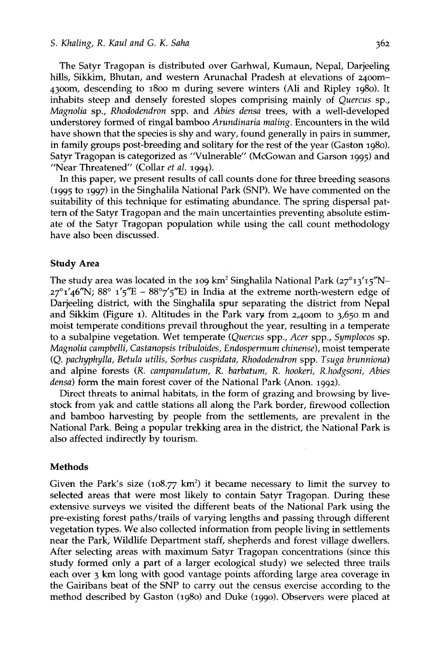The Satyr Tragopan is distributed over Garhwal, Kumaun, Nepal, Darjeeling hills, Sikkim, Bhutan, and western Arunachal Pradesh at elevations of 2400m-4300m, descending to 1800 m during severe winters (Ali and Ripley 1980). It inhabits steep and densely forested slopes comprising mainly of *Quercus* sp., *Magnolia* sp., *Rhododendron* spp. and *Abies densa* trees, with a well-developed understorey formed of ringal bamboo *Arundinaria maling.* Encounters in the wild have shown that the species is shy and wary, found generally in pairs in summer, in family groups post-breeding and solitary for the rest of the year (Gaston 1980). Satyr Tragopan is categorized as "Vulnerable" (McGowan and Garson 1995) and "Near Threatened" (Collar *et al.* 1994).

In this paper, we present results of call counts done for three breeding seasons (1995 to 1997) in the Singhalila National Park (SNP). We have commented on the suitability of this technique for estimating abundance. The spring dispersal pattern of the Satyr Tragopan and the main uncertainties preventing absolute estimate of the Satyr Tragopan population while using the call count methodology have also been discussed.

### **Study Area**

The study area was located in the 109 km<sup>2</sup> Singhalila National Park (27°13'15"N–  $27^{\circ}1'46''$ N;  $88^{\circ}1'5''E - 88^{\circ}7'5''E$ ) in India at the extreme north-western edge of Darjeeling district, with the Singhalila spur separating the district from Nepal and Sikkim (Figure 1). Altitudes in the Park vary from 2,400m to 3,650 m and moist temperate conditions prevail throughout the year, resulting in a temperate to a subalpine vegetation. Wet temperate *(Quercus* spp., *Acer* spp., *Sytnplocos* sp. *Magnolia campbelli, Castanopsis tribuloides, Endospermum chinense),* moist temperate (Q. *pachyphylla, Betula utilis, Sorbus cuspidata, Rhododendron* spp. *Tsuga brunniona)* and alpine forests *{R. campanulatum, R. barbatum, R. hookeri, R.hodgsoni, Abies densa)* form the main forest cover of the National Park (Anon. 1992).

Direct threats to animal habitats, in the form of grazing and browsing by livestock from yak and cattle stations all along the Park border, firewood collection and bamboo harvesting by people from the settlements, are prevalent in the National Park. Being a popular trekking area in the district, the National Park is also affected indirectly by tourism.

#### **Methods**

Given the Park's size (108.77 km<sup>2</sup>) it became necessary to limit the survey to selected areas that were most likely to contain Satyr Tragopan. During these extensive surveys we visited the different beats of the National Park using the pre-existing forest paths/trails of varying lengths and passing through different vegetation types. We also collected information from people living in settlements near the Park, Wildlife Department staff, shepherds and forest village dwellers. After selecting areas with maximum Satyr Tragopan concentrations (since this study formed only a part of a larger ecological study) we selected three trails each over 3 km long with good vantage points affording large area coverage in the Gairibans beat of the SNP to carry out the census exercise according to the method described by Gaston (1980) and Duke (1990). Observers were placed at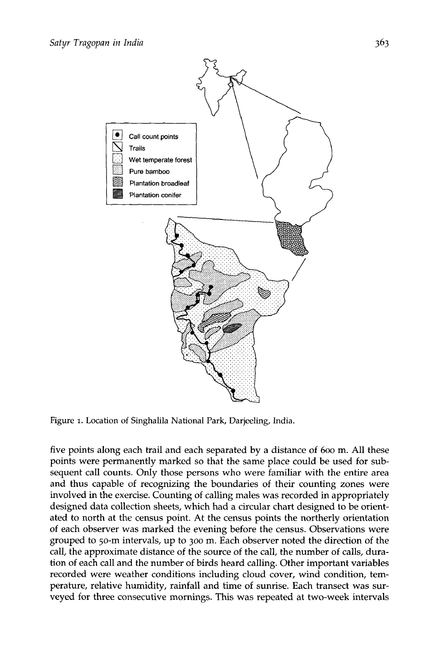

Figure 1. Location of Singhalila National Park, Darjeeling, India.

five points along each trail and each separated by a distance of 600 m. All these points were permanently marked so that the same place could be used for subsequent call counts. Only those persons who were familiar with the entire area and thus capable of recognizing the boundaries of their counting zones were involved in the exercise. Counting of calling males was recorded in appropriately designed data collection sheets, which had a circular chart designed to be orientated to north at the census point. At the census points the northerly orientation of each observer was marked the evening before the census. Observations were grouped to 50-m intervals, up to 300 m. Each observer noted the direction of the call, the approximate distance of the source of the call, the number of calls, duration of each call and the number of birds heard calling. Other important variables recorded were weather conditions including cloud cover, wind condition, temperature, relative humidity, rainfall and time of sunrise. Each transect was surveyed for three consecutive mornings. This was repeated at two-week intervals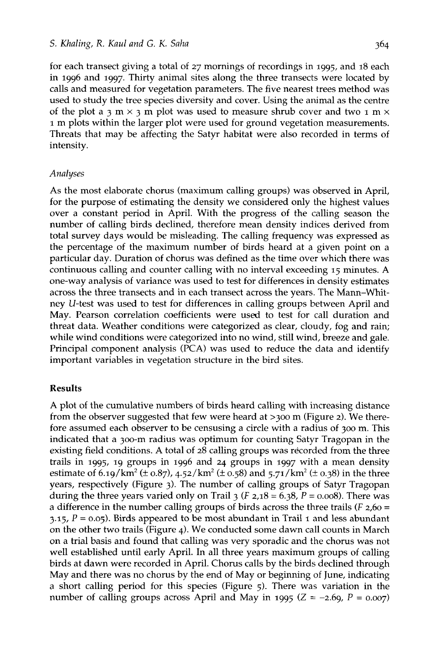for each transect giving a total of 27 mornings of recordings in 1995, and 18 each in 1996 and 1997. Thirty animal sites along the three transects were located by calls and measured for vegetation parameters. The five nearest trees method was used to study the tree species diversity and cover. Using the animal as the centre of the plot a 3 m  $\times$  3 m plot was used to measure shrub cover and two 1 m  $\times$ 1 m plots within the larger plot were used for ground vegetation measurements. Threats that may be affecting the Satyr habitat were also recorded in terms of intensity.

#### *Analyses*

As the most elaborate chorus (maximum calling groups) was observed in April, for the purpose of estimating the density we considered only the highest values over a constant period in April. With the progress of the calling season the number of calling birds declined, therefore mean density indices derived from total survey days would be misleading. The calling frequency was expressed as the percentage of the maximum number of birds heard at a given point on a particular day. Duration of chorus was defined as the time over which there was continuous calling and counter calling with no interval exceeding 15 minutes. A one-way analysis of variance was used to test for differences in density estimates across the three transects and in each transect across the years. The Mann-Whitney U-test was used to test for differences in calling groups between April and May. Pearson correlation coefficients were used to test for call duration and threat data. Weather conditions were categorized as clear, cloudy, fog and rain; while wind conditions were categorized into no wind, still wind, breeze and gale. Principal component analysis (PCA) was used to reduce the data and identify important variables in vegetation structure in the bird sites.

## **Results**

A plot of the cumulative numbers of birds heard calling with increasing distance from the observer suggested that few were heard at >3oo m (Figure 2). We therefore assumed each observer to be censusing a circle with a radius of 300 m. This indicated that a 300-m radius was optimum for counting Satyr Tragopan in the existing field conditions. A total of 28 calling groups was recorded from the three trails in 1995, 19 groups in 1996 and 24 groups in 1997 with a mean density estimate of 6.19/km<sup>2</sup> (± 0.87), 4.52/km<sup>2</sup> (± 0.58) and 5.71/km<sup>2</sup> (± 0.38) in the three years, respectively (Figure 3). The number of calling groups of Satyr Tragopan during the three years varied only on Trail 3 ( $F$  2,18 = 6.38,  $P$  = 0.008). There was a difference in the number calling groups of birds across the three trails ( $F_{2,60} =$ 3.15,  $P = 0.05$ ). Birds appeared to be most abundant in Trail 1 and less abundant on the other two trails (Figure 4). We conducted some dawn call counts in March on a trial basis and found that calling was very sporadic and the chorus was not well established until early April. In all three years maximum groups of calling birds at dawn were recorded in April. Chorus calls by the birds declined through May and there was no chorus by the end of May or beginning of June, indicating a short calling period for this species (Figure 5). There was variation in the number of calling groups across April and May in 1995 ( $Z = -2.69$ ,  $P = 0.007$ )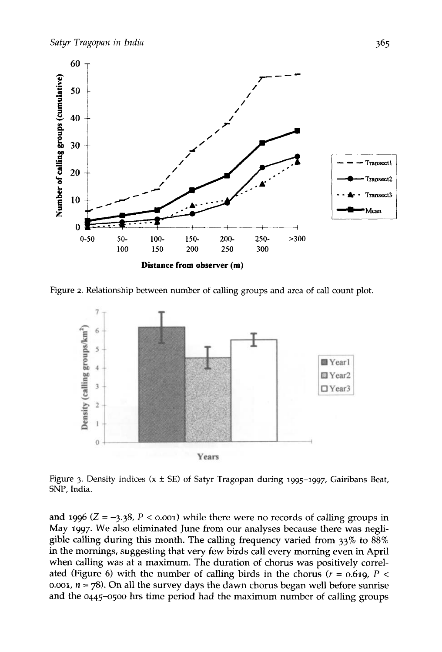

Figure 2. Relationship between number of calling groups and area of call count plot.



Figure 3. Density indices ( $x \pm SE$ ) of Satyr Tragopan during 1995–1997, Gairibans Beat, SNP, India.

and 1996  $(Z = -3.38, P < 0.001)$  while there were no records of calling groups in May 1997. We also eliminated June from our analyses because there was negligible calling during this month. The calling frequency varied from 33% to 88% in the mornings, suggesting that very few birds call every morning even in April when calling was at a maximum. The duration of chorus was positively correlated (Figure 6) with the number of calling birds in the chorus (r = 0.619, *P <* 0.001,  $n = 78$ ). On all the survey days the dawn chorus began well before sunrise and the 0445-0500 hrs time period had the maximum number of calling groups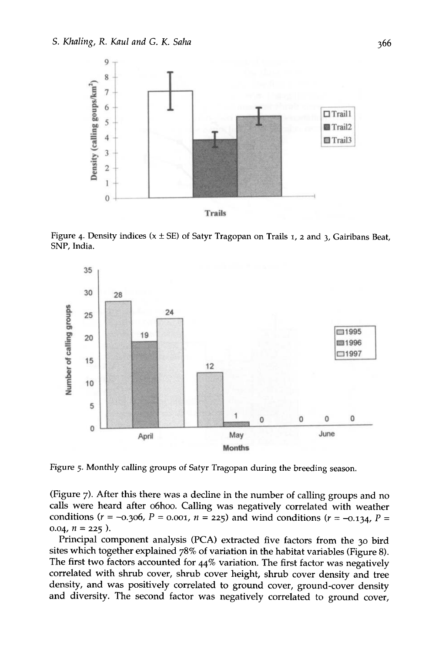

Figure 4. Density indices ( $x \pm SE$ ) of Satyr Tragopan on Trails 1, 2 and 3, Gairibans Beat, SNP, India.



Figure 5. Monthly calling groups of Satyr Tragopan during the breeding season.

(Figure 7). After this there was a decline in the number of calling groups and no calls were heard after o6hoo. Calling was negatively correlated with weather conditions ( $r = -0.306$ ,  $P = 0.001$ ,  $n = 225$ ) and wind conditions ( $r = -0.134$ ,  $P =$ 0.04,  $n = 225$ ).

Principal component analysis (PCA) extracted five factors from the 30 bird sites which together explained 78% of variation in the habitat variables (Figure 8). The first two factors accounted for 44% variation. The first factor was negatively correlated with shrub cover, shrub cover height, shrub cover density and tree density, and was positively correlated to ground cover, ground-cover density and diversity. The second factor was negatively correlated to ground cover,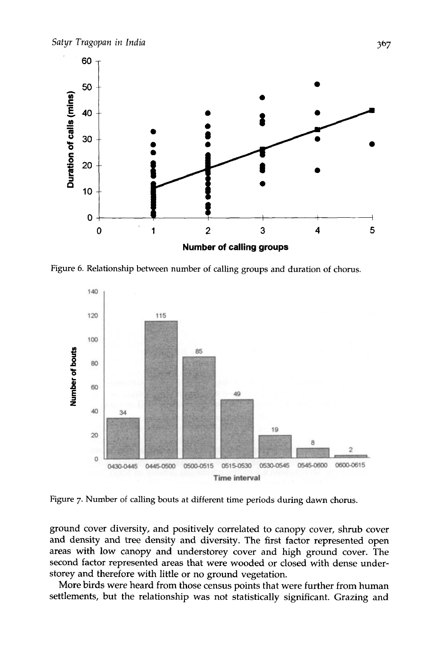

Figure 6. Relationship between number of calling groups and duration of chorus.



Figure 7. Number of calling bouts at different time periods during dawn chorus.

ground cover diversity, and positively correlated to canopy cover, shrub cover and density and tree density and diversity. The first factor represented open areas with low canopy and understorey cover and high ground cover. The second factor represented areas that were wooded or closed with dense understorey and therefore with little or no ground vegetation.

More birds were heard from those census points that were further from human settlements, but the relationship was not statistically significant. Grazing and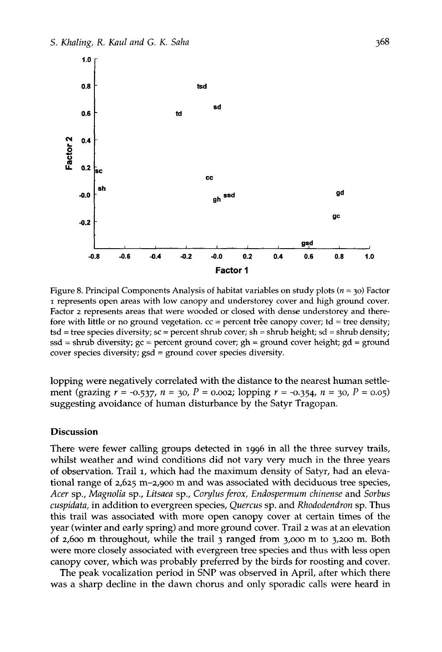

Figure 8. Principal Components Analysis of habitat variables on study plots *(n* = 30) Factor 1 represents open areas with low canopy and understorey cover and high ground cover. Factor 2 represents areas that were wooded or closed with dense understorey and therefore with little or no ground vegetation.  $cc =$  percent tree canopy cover;  $td =$  tree density;  $t sd = tree species diversity; sc = percent shrub cover; sh = shrub height; sd = shrub density;$  $s$ sd = shrub diversity;  $gc = percent$  ground cover;  $gh = ground$  cover height;  $gd = ground$ cover species diversity; gsd = ground cover species diversity.

lopping were negatively correlated with the distance to the nearest human settlement (grazing  $r = -0.537$ ,  $n = 30$ ,  $P = 0.002$ ; lopping  $r = -0.354$ ,  $n = 30$ ,  $P = 0.05$ ) suggesting avoidance of human disturbance by the Satyr Tragopan.

## **Discussion**

There were fewer calling groups detected in 1996 in all the three survey trails, whilst weather and wind conditions did not vary very much in the three years of observation. Trail 1, which had the maximum density of Satyr, had an elevational range of 2,625 m-2,900 m and was associated with deciduous tree species, *Acer* sp., *Magnolia* sp., *Litsaea* sp., *Corylus ferox, Endospermum chinense* and *Sorbus cuspidata,* in addition to evergreen species, *Quercus* sp. and *Rhododendron* sp. Thus this trail was associated with more open canopy cover at certain times of the year (winter and early spring) and more ground cover. Trail 2 was at an elevation of 2,600 m throughout, while the trail 3 ranged from 3,000 m to 3,200 m. Both were more closely associated with evergreen tree species and thus with less open canopy cover, which was probably preferred by the birds for roosting and cover.

The peak vocalization period in SNP was observed in April, after which there was a sharp decline in the dawn chorus and only sporadic calls were heard in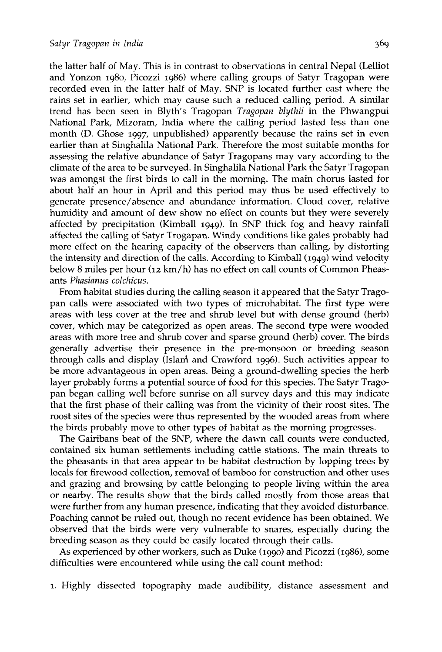the latter half of May. This is in contrast to observations in central Nepal (Lelliot and Yonzon 1980, Picozzi 1986) where calling groups of Satyr Tragopan were recorded even in the latter half of May. SNP is located further east where the rains set in earlier, which may cause such a reduced calling period. A similar trend has been seen in Blyth's Tragopan Tragopan blythii in the Phwangpui National Park, Mizoram, India where the calling period lasted less than one month (D. Ghose 1997, unpublished) apparently because the rains set in even earlier than at Singhalila National Park. Therefore the most suitable months for assessing the relative abundance of Satyr Tragopans may vary according to the climate of the area to be surveyed. In Singhalila National Park the Satyr Tragopan was amongst the first birds to call in the morning. The main chorus lasted for about half an hour in April and this period may thus be used effectively to generate presence/absence and abundance information. Cloud cover, relative humidity and amount of dew show no effect on counts but they were severely affected by precipitation (Kimball 1949). In SNP thick fog and heavy rainfall affected the calling of Satyr Trogapan. Windy conditions like gales probably had more effect on the hearing capacity of the observers than calling, by distorting the intensity and direction of the calls. According to Kimball (1949) wind velocity below 8 miles per hour (12 km/h) has no effect on call counts of Common Pheasants *Phasianus colchicus.*

From habitat studies during the calling season it appeared that the Satyr Tragopan calls were associated with two types of microhabitat. The first type were areas with less cover at the tree and shrub level but with dense ground (herb) cover, which may be categorized as open areas. The second type were wooded areas with more tree and shrub cover and sparse ground (herb) cover. The birds generally advertise their presence in the pre-monsoon or breeding season through calls and display (Islam and Crawford 1996). Such activities appear to be more advantageous in open areas. Being a ground-dwelling species the herb layer probably forms a potential source of food for this species. The Satyr Tragopan began calling well before sunrise on all survey days and this may indicate that the first phase of their calling was from the vicinity of their roost sites. The roost sites of the species were thus represented by the wooded areas from where the birds probably move to other types of habitat as the morning progresses.

The Gairibans beat of the SNP, where the dawn call counts were conducted, contained six human settlements including cattle stations. The main threats to the pheasants in that area appear to be habitat destruction by lopping trees by locals for firewood collection, removal of bamboo for construction and other uses and grazing and browsing by cattle belonging to people living within the area or nearby. The results show that the birds called mostly from those areas that were further from any human presence, indicating that they avoided disturbance. Poaching cannot be ruled out, though no recent evidence has been obtained. We observed that the birds were very vulnerable to snares, especially during the breeding season as they could be easily located through their calls.

As experienced by other workers, such as Duke (1990) and Picozzi (1986), some difficulties were encountered while using the call count method:

1. Highly dissected topography made audibility, distance assessment and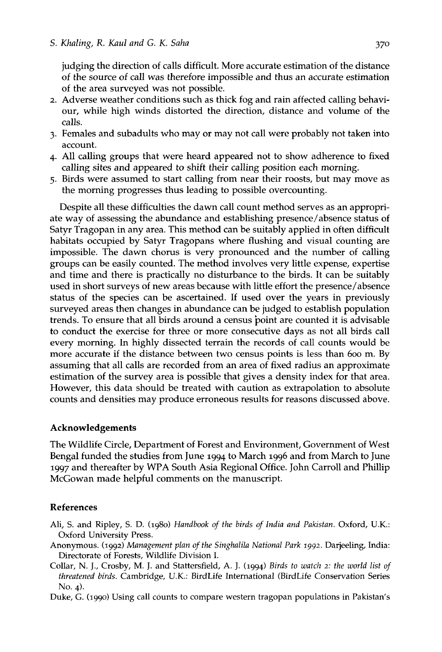judging the direction of calls difficult. More accurate estimation of the distance of the source of call was therefore impossible and thus an accurate estimation of the area surveyed was not possible.

- 2. Adverse weather conditions such as thick fog and rain affected calling behaviour, while high winds distorted the direction, distance and volume of the calls.
- 3. Females and subadults who may or may not call were probably not taken into account.
- 4. All calling groups that were heard appeared not to show adherence to fixed calling sites and appeared to shift their calling position each morning.
- 5. Birds were assumed to start calling from near their roosts, but may move as the morning progresses thus leading to possible overcounting.

Despite all these difficulties the dawn call count method serves as an appropriate way of assessing the abundance and establishing presence /absence status of Satyr Tragopan in any area. This method can be suitably applied in often difficult habitats occupied by Satyr Tragopans where flushing and visual counting are impossible. The dawn chorus is very pronounced and the number of calling groups can be easily counted. The method involves very little expense, expertise and time and there is practically no disturbance to the birds. It can be suitably used in short surveys of new areas because with little effort the presence/absence status of the species can be ascertained. If used over the years in previously surveyed areas then changes in abundance can be judged to establish population trends. To ensure that all birds around a census point are counted it is advisable to conduct the exercise for three or more consecutive days as not all birds call every morning. In highly dissected terrain the records of call counts would be more accurate if the distance between two census points is less than 600 m. By assuming that all calls are recorded from an area of fixed radius an approximate estimation of the survey area is possible that gives a density index for that area. However, this data should be treated with caution as extrapolation to absolute counts and densities may produce erroneous results for reasons discussed above.

## **Acknowledgements**

The Wildlife Circle, Department of Forest and Environment, Government of West Bengal funded the studies from June 1994 to March 1996 and from March to June 1997 and thereafter by WPA South Asia Regional Office. John Carroll and Phillip McGowan made helpful comments on the manuscript.

# **References**

- Ali, S. and Ripley, S. D. (1980) *Handbook of the birds of India and Pakistan.* Oxford, U.K.: Oxford University Press.
- Anonymous. (1992) *Management plan of the Singhalila National Park 1992.* Darjeeling, India: Directorate of Forests, Wildlife Division I.
- Collar, N. J., Crosby, M. J. and Stattersfield, A. J. (1994) *Birds to watch 2: the world list of threatened birds.* Cambridge, U.K.: BirdLife International (BirdLife Conservation Series No. 4).

Duke, G. (1990) Using call counts to compare western tragopan populations in Pakistan's